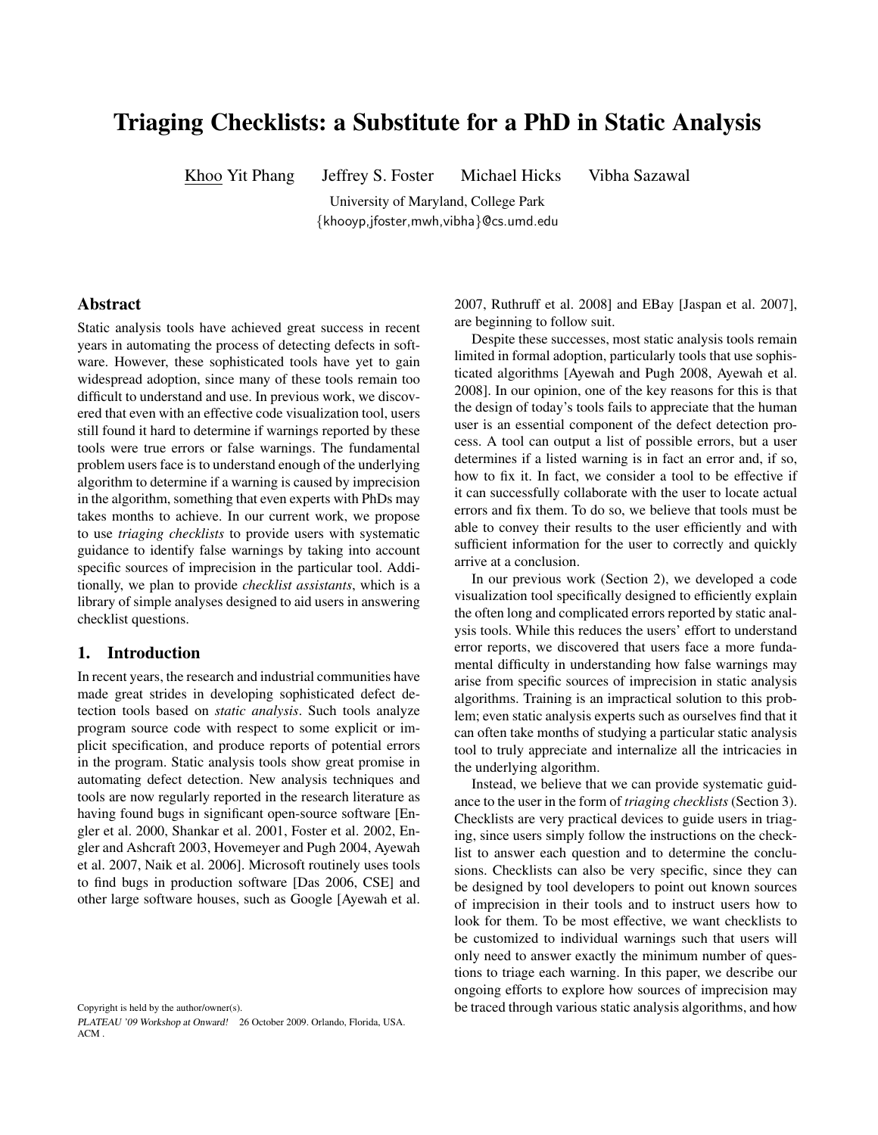# Triaging Checklists: a Substitute for a PhD in Static Analysis

Khoo Yit Phang Jeffrey S. Foster Michael Hicks Vibha Sazawal

University of Maryland, College Park {khooyp,jfoster,mwh,vibha}@cs.umd.edu

#### Abstract

Static analysis tools have achieved great success in recent years in automating the process of detecting defects in software. However, these sophisticated tools have yet to gain widespread adoption, since many of these tools remain too difficult to understand and use. In previous work, we discovered that even with an effective code visualization tool, users still found it hard to determine if warnings reported by these tools were true errors or false warnings. The fundamental problem users face is to understand enough of the underlying algorithm to determine if a warning is caused by imprecision in the algorithm, something that even experts with PhDs may takes months to achieve. In our current work, we propose to use *triaging checklists* to provide users with systematic guidance to identify false warnings by taking into account specific sources of imprecision in the particular tool. Additionally, we plan to provide *checklist assistants*, which is a library of simple analyses designed to aid users in answering checklist questions.

#### 1. Introduction

In recent years, the research and industrial communities have made great strides in developing sophisticated defect detection tools based on *static analysis*. Such tools analyze program source code with respect to some explicit or implicit specification, and produce reports of potential errors in the program. Static analysis tools show great promise in automating defect detection. New analysis techniques and tools are now regularly reported in the research literature as having found bugs in significant open-source software [Engler et al. 2000, Shankar et al. 2001, Foster et al. 2002, Engler and Ashcraft 2003, Hovemeyer and Pugh 2004, Ayewah et al. 2007, Naik et al. 2006]. Microsoft routinely uses tools to find bugs in production software [Das 2006, CSE] and other large software houses, such as Google [Ayewah et al.

Copyright is held by the author/owner(s).

PLATEAU '09 Workshop at Onward! 26 October 2009. Orlando, Florida, USA. ACM .

2007, Ruthruff et al. 2008] and EBay [Jaspan et al. 2007], are beginning to follow suit.

Despite these successes, most static analysis tools remain limited in formal adoption, particularly tools that use sophisticated algorithms [Ayewah and Pugh 2008, Ayewah et al. 2008]. In our opinion, one of the key reasons for this is that the design of today's tools fails to appreciate that the human user is an essential component of the defect detection process. A tool can output a list of possible errors, but a user determines if a listed warning is in fact an error and, if so, how to fix it. In fact, we consider a tool to be effective if it can successfully collaborate with the user to locate actual errors and fix them. To do so, we believe that tools must be able to convey their results to the user efficiently and with sufficient information for the user to correctly and quickly arrive at a conclusion.

In our previous work (Section 2), we developed a code visualization tool specifically designed to efficiently explain the often long and complicated errors reported by static analysis tools. While this reduces the users' effort to understand error reports, we discovered that users face a more fundamental difficulty in understanding how false warnings may arise from specific sources of imprecision in static analysis algorithms. Training is an impractical solution to this problem; even static analysis experts such as ourselves find that it can often take months of studying a particular static analysis tool to truly appreciate and internalize all the intricacies in the underlying algorithm.

Instead, we believe that we can provide systematic guidance to the user in the form of *triaging checklists* (Section 3). Checklists are very practical devices to guide users in triaging, since users simply follow the instructions on the checklist to answer each question and to determine the conclusions. Checklists can also be very specific, since they can be designed by tool developers to point out known sources of imprecision in their tools and to instruct users how to look for them. To be most effective, we want checklists to be customized to individual warnings such that users will only need to answer exactly the minimum number of questions to triage each warning. In this paper, we describe our ongoing efforts to explore how sources of imprecision may be traced through various static analysis algorithms, and how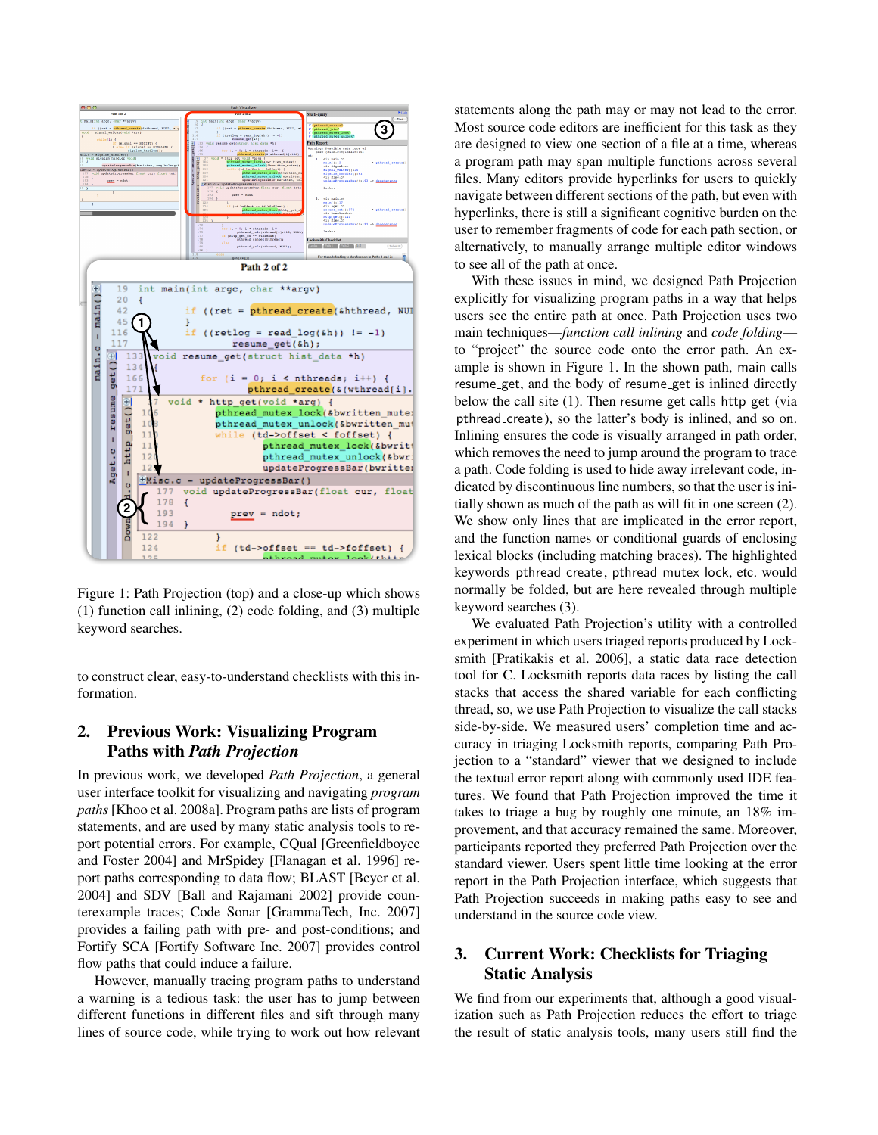

Figure 1: Path Projection (top) and a close-up which shows (1) function call inlining, (2) code folding, and (3) multiple keyword searches.

to construct clear, easy-to-understand checklists with this information.

# 2. Previous Work: Visualizing Program Paths with *Path Projection*

In previous work, we developed *Path Projection*, a general user interface toolkit for visualizing and navigating *program paths* [Khoo et al. 2008a]. Program paths are lists of program statements, and are used by many static analysis tools to report potential errors. For example, CQual [Greenfieldboyce and Foster 2004] and MrSpidey [Flanagan et al. 1996] report paths corresponding to data flow; BLAST [Beyer et al. 2004] and SDV [Ball and Rajamani 2002] provide counterexample traces; Code Sonar [GrammaTech, Inc. 2007] provides a failing path with pre- and post-conditions; and Fortify SCA [Fortify Software Inc. 2007] provides control flow paths that could induce a failure.

However, manually tracing program paths to understand a warning is a tedious task: the user has to jump between different functions in different files and sift through many lines of source code, while trying to work out how relevant

statements along the path may or may not lead to the error. Most source code editors are inefficient for this task as they are designed to view one section of a file at a time, whereas a program path may span multiple functions across several files. Many editors provide hyperlinks for users to quickly navigate between different sections of the path, but even with hyperlinks, there is still a significant cognitive burden on the user to remember fragments of code for each path section, or alternatively, to manually arrange multiple editor windows to see all of the path at once.

With these issues in mind, we designed Path Projection explicitly for visualizing program paths in a way that helps users see the entire path at once. Path Projection uses two main techniques—*function call inlining* and *code folding* to "project" the source code onto the error path. An example is shown in Figure 1. In the shown path, main calls resume get, and the body of resume get is inlined directly below the call site  $(1)$ . Then resume get calls http get (via pthread create ), so the latter's body is inlined, and so on. Inlining ensures the code is visually arranged in path order, which removes the need to jump around the program to trace a path. Code folding is used to hide away irrelevant code, indicated by discontinuous line numbers, so that the user is initially shown as much of the path as will fit in one screen (2). We show only lines that are implicated in the error report, and the function names or conditional guards of enclosing lexical blocks (including matching braces). The highlighted keywords pthread create , pthread mutex lock, etc. would normally be folded, but are here revealed through multiple keyword searches (3).

We evaluated Path Projection's utility with a controlled experiment in which users triaged reports produced by Locksmith [Pratikakis et al. 2006], a static data race detection tool for C. Locksmith reports data races by listing the call stacks that access the shared variable for each conflicting thread, so, we use Path Projection to visualize the call stacks side-by-side. We measured users' completion time and accuracy in triaging Locksmith reports, comparing Path Projection to a "standard" viewer that we designed to include the textual error report along with commonly used IDE features. We found that Path Projection improved the time it takes to triage a bug by roughly one minute, an 18% improvement, and that accuracy remained the same. Moreover, participants reported they preferred Path Projection over the standard viewer. Users spent little time looking at the error report in the Path Projection interface, which suggests that Path Projection succeeds in making paths easy to see and understand in the source code view.

# 3. Current Work: Checklists for Triaging Static Analysis

We find from our experiments that, although a good visualization such as Path Projection reduces the effort to triage the result of static analysis tools, many users still find the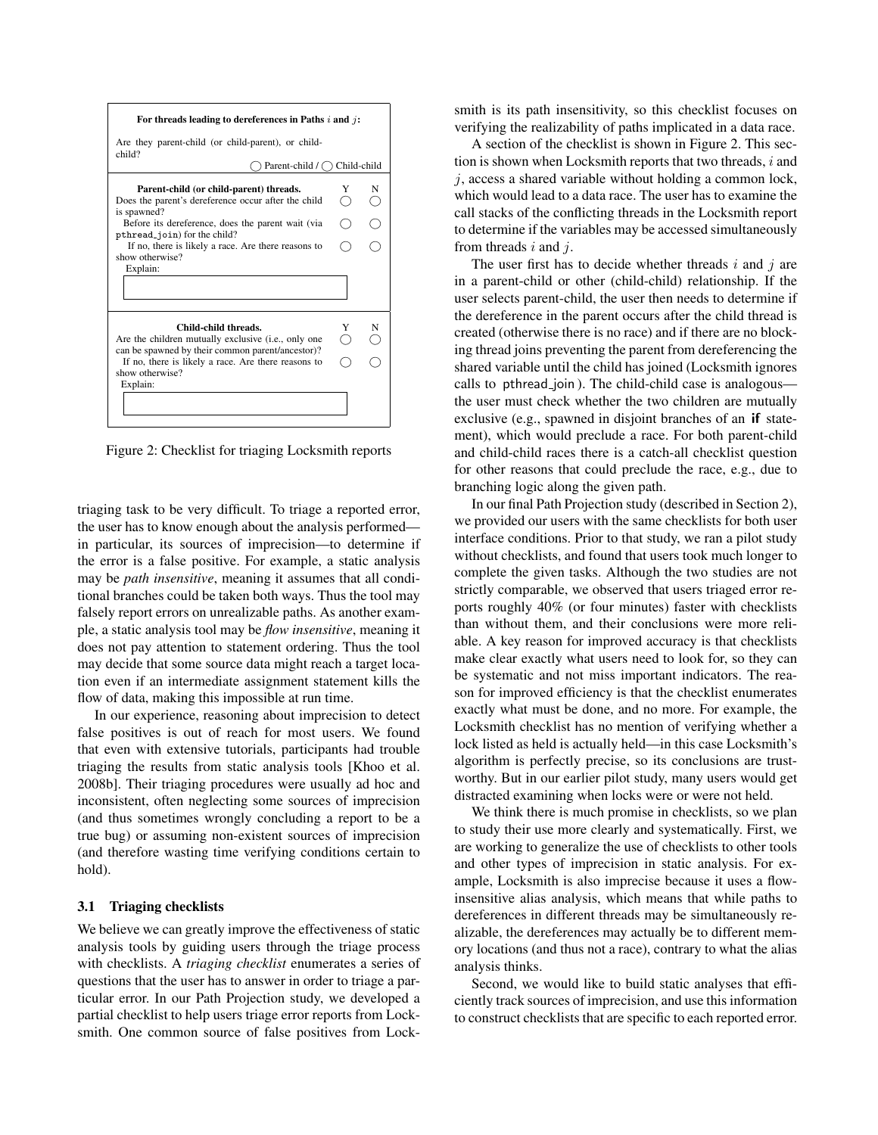

Figure 2: Checklist for triaging Locksmith reports

triaging task to be very difficult. To triage a reported error, the user has to know enough about the analysis performed in particular, its sources of imprecision—to determine if the error is a false positive. For example, a static analysis may be *path insensitive*, meaning it assumes that all conditional branches could be taken both ways. Thus the tool may falsely report errors on unrealizable paths. As another example, a static analysis tool may be *flow insensitive*, meaning it does not pay attention to statement ordering. Thus the tool may decide that some source data might reach a target location even if an intermediate assignment statement kills the flow of data, making this impossible at run time.

In our experience, reasoning about imprecision to detect false positives is out of reach for most users. We found that even with extensive tutorials, participants had trouble triaging the results from static analysis tools [Khoo et al. 2008b]. Their triaging procedures were usually ad hoc and inconsistent, often neglecting some sources of imprecision (and thus sometimes wrongly concluding a report to be a true bug) or assuming non-existent sources of imprecision (and therefore wasting time verifying conditions certain to hold).

#### 3.1 Triaging checklists

We believe we can greatly improve the effectiveness of static analysis tools by guiding users through the triage process with checklists. A *triaging checklist* enumerates a series of questions that the user has to answer in order to triage a particular error. In our Path Projection study, we developed a partial checklist to help users triage error reports from Locksmith. One common source of false positives from Locksmith is its path insensitivity, so this checklist focuses on verifying the realizability of paths implicated in a data race.

A section of the checklist is shown in Figure 2. This section is shown when Locksmith reports that two threads,  $i$  and  $j$ , access a shared variable without holding a common lock, which would lead to a data race. The user has to examine the call stacks of the conflicting threads in the Locksmith report to determine if the variables may be accessed simultaneously from threads  $i$  and  $j$ .

The user first has to decide whether threads  $i$  and  $j$  are in a parent-child or other (child-child) relationship. If the user selects parent-child, the user then needs to determine if the dereference in the parent occurs after the child thread is created (otherwise there is no race) and if there are no blocking thread joins preventing the parent from dereferencing the shared variable until the child has joined (Locksmith ignores calls to pthread join ). The child-child case is analogous the user must check whether the two children are mutually exclusive (e.g., spawned in disjoint branches of an if statement), which would preclude a race. For both parent-child and child-child races there is a catch-all checklist question for other reasons that could preclude the race, e.g., due to branching logic along the given path.

In our final Path Projection study (described in Section 2), we provided our users with the same checklists for both user interface conditions. Prior to that study, we ran a pilot study without checklists, and found that users took much longer to complete the given tasks. Although the two studies are not strictly comparable, we observed that users triaged error reports roughly 40% (or four minutes) faster with checklists than without them, and their conclusions were more reliable. A key reason for improved accuracy is that checklists make clear exactly what users need to look for, so they can be systematic and not miss important indicators. The reason for improved efficiency is that the checklist enumerates exactly what must be done, and no more. For example, the Locksmith checklist has no mention of verifying whether a lock listed as held is actually held—in this case Locksmith's algorithm is perfectly precise, so its conclusions are trustworthy. But in our earlier pilot study, many users would get distracted examining when locks were or were not held.

We think there is much promise in checklists, so we plan to study their use more clearly and systematically. First, we are working to generalize the use of checklists to other tools and other types of imprecision in static analysis. For example, Locksmith is also imprecise because it uses a flowinsensitive alias analysis, which means that while paths to dereferences in different threads may be simultaneously realizable, the dereferences may actually be to different memory locations (and thus not a race), contrary to what the alias analysis thinks.

Second, we would like to build static analyses that efficiently track sources of imprecision, and use this information to construct checklists that are specific to each reported error.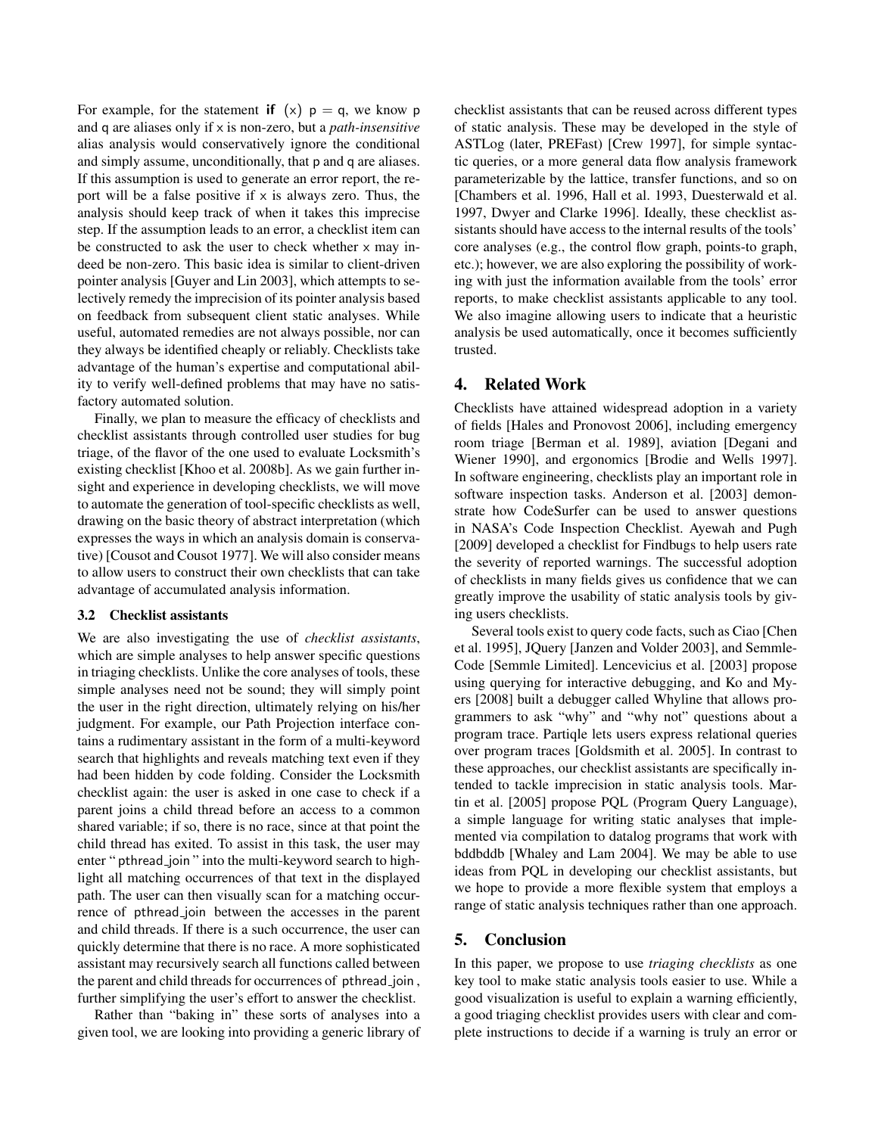For example, for the statement if  $(x)$   $p = q$ , we know p and q are aliases only if x is non-zero, but a *path-insensitive* alias analysis would conservatively ignore the conditional and simply assume, unconditionally, that p and q are aliases. If this assumption is used to generate an error report, the report will be a false positive if  $x$  is always zero. Thus, the analysis should keep track of when it takes this imprecise step. If the assumption leads to an error, a checklist item can be constructed to ask the user to check whether  $\times$  may indeed be non-zero. This basic idea is similar to client-driven pointer analysis [Guyer and Lin 2003], which attempts to selectively remedy the imprecision of its pointer analysis based on feedback from subsequent client static analyses. While useful, automated remedies are not always possible, nor can they always be identified cheaply or reliably. Checklists take advantage of the human's expertise and computational ability to verify well-defined problems that may have no satisfactory automated solution.

Finally, we plan to measure the efficacy of checklists and checklist assistants through controlled user studies for bug triage, of the flavor of the one used to evaluate Locksmith's existing checklist [Khoo et al. 2008b]. As we gain further insight and experience in developing checklists, we will move to automate the generation of tool-specific checklists as well, drawing on the basic theory of abstract interpretation (which expresses the ways in which an analysis domain is conservative) [Cousot and Cousot 1977]. We will also consider means to allow users to construct their own checklists that can take advantage of accumulated analysis information.

#### 3.2 Checklist assistants

We are also investigating the use of *checklist assistants*, which are simple analyses to help answer specific questions in triaging checklists. Unlike the core analyses of tools, these simple analyses need not be sound; they will simply point the user in the right direction, ultimately relying on his/her judgment. For example, our Path Projection interface contains a rudimentary assistant in the form of a multi-keyword search that highlights and reveals matching text even if they had been hidden by code folding. Consider the Locksmith checklist again: the user is asked in one case to check if a parent joins a child thread before an access to a common shared variable; if so, there is no race, since at that point the child thread has exited. To assist in this task, the user may enter " pthread join" into the multi-keyword search to highlight all matching occurrences of that text in the displayed path. The user can then visually scan for a matching occurrence of pthread join between the accesses in the parent and child threads. If there is a such occurrence, the user can quickly determine that there is no race. A more sophisticated assistant may recursively search all functions called between the parent and child threads for occurrences of pthread join , further simplifying the user's effort to answer the checklist.

Rather than "baking in" these sorts of analyses into a given tool, we are looking into providing a generic library of checklist assistants that can be reused across different types of static analysis. These may be developed in the style of ASTLog (later, PREFast) [Crew 1997], for simple syntactic queries, or a more general data flow analysis framework parameterizable by the lattice, transfer functions, and so on [Chambers et al. 1996, Hall et al. 1993, Duesterwald et al. 1997, Dwyer and Clarke 1996]. Ideally, these checklist assistants should have access to the internal results of the tools' core analyses (e.g., the control flow graph, points-to graph, etc.); however, we are also exploring the possibility of working with just the information available from the tools' error reports, to make checklist assistants applicable to any tool. We also imagine allowing users to indicate that a heuristic analysis be used automatically, once it becomes sufficiently trusted.

### 4. Related Work

Checklists have attained widespread adoption in a variety of fields [Hales and Pronovost 2006], including emergency room triage [Berman et al. 1989], aviation [Degani and Wiener 1990], and ergonomics [Brodie and Wells 1997]. In software engineering, checklists play an important role in software inspection tasks. Anderson et al. [2003] demonstrate how CodeSurfer can be used to answer questions in NASA's Code Inspection Checklist. Ayewah and Pugh [2009] developed a checklist for Findbugs to help users rate the severity of reported warnings. The successful adoption of checklists in many fields gives us confidence that we can greatly improve the usability of static analysis tools by giving users checklists.

Several tools exist to query code facts, such as Ciao [Chen et al. 1995], JQuery [Janzen and Volder 2003], and Semmle-Code [Semmle Limited]. Lencevicius et al. [2003] propose using querying for interactive debugging, and Ko and Myers [2008] built a debugger called Whyline that allows programmers to ask "why" and "why not" questions about a program trace. Partiqle lets users express relational queries over program traces [Goldsmith et al. 2005]. In contrast to these approaches, our checklist assistants are specifically intended to tackle imprecision in static analysis tools. Martin et al. [2005] propose PQL (Program Query Language), a simple language for writing static analyses that implemented via compilation to datalog programs that work with bddbddb [Whaley and Lam 2004]. We may be able to use ideas from PQL in developing our checklist assistants, but we hope to provide a more flexible system that employs a range of static analysis techniques rather than one approach.

# 5. Conclusion

In this paper, we propose to use *triaging checklists* as one key tool to make static analysis tools easier to use. While a good visualization is useful to explain a warning efficiently, a good triaging checklist provides users with clear and complete instructions to decide if a warning is truly an error or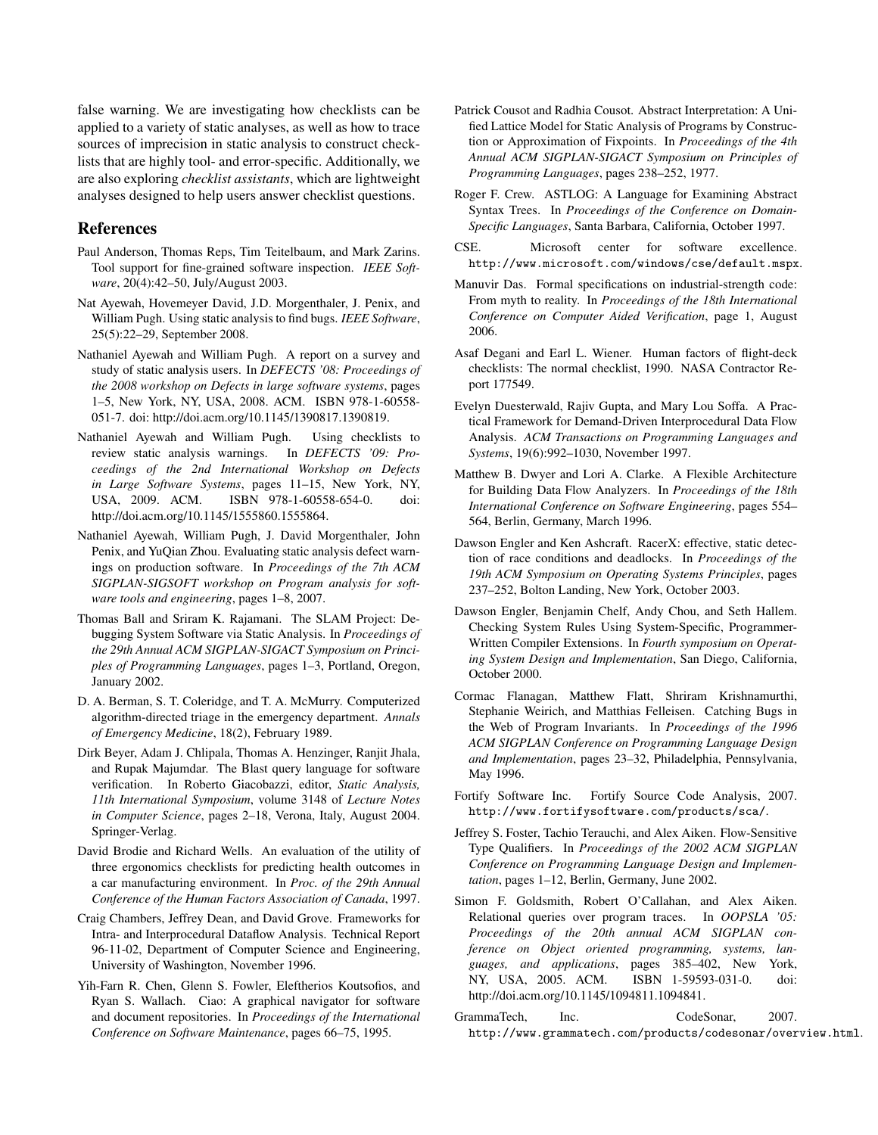false warning. We are investigating how checklists can be applied to a variety of static analyses, as well as how to trace sources of imprecision in static analysis to construct checklists that are highly tool- and error-specific. Additionally, we are also exploring *checklist assistants*, which are lightweight analyses designed to help users answer checklist questions.

#### References

- Paul Anderson, Thomas Reps, Tim Teitelbaum, and Mark Zarins. Tool support for fine-grained software inspection. *IEEE Software*, 20(4):42–50, July/August 2003.
- Nat Ayewah, Hovemeyer David, J.D. Morgenthaler, J. Penix, and William Pugh. Using static analysis to find bugs. *IEEE Software*, 25(5):22–29, September 2008.
- Nathaniel Ayewah and William Pugh. A report on a survey and study of static analysis users. In *DEFECTS '08: Proceedings of the 2008 workshop on Defects in large software systems*, pages 1–5, New York, NY, USA, 2008. ACM. ISBN 978-1-60558- 051-7. doi: http://doi.acm.org/10.1145/1390817.1390819.
- Nathaniel Ayewah and William Pugh. Using checklists to review static analysis warnings. In *DEFECTS '09: Proceedings of the 2nd International Workshop on Defects in Large Software Systems*, pages 11–15, New York, NY, USA, 2009. ACM. ISBN 978-1-60558-654-0. doi: http://doi.acm.org/10.1145/1555860.1555864.
- Nathaniel Ayewah, William Pugh, J. David Morgenthaler, John Penix, and YuQian Zhou. Evaluating static analysis defect warnings on production software. In *Proceedings of the 7th ACM SIGPLAN-SIGSOFT workshop on Program analysis for software tools and engineering*, pages 1–8, 2007.
- Thomas Ball and Sriram K. Rajamani. The SLAM Project: Debugging System Software via Static Analysis. In *Proceedings of the 29th Annual ACM SIGPLAN-SIGACT Symposium on Principles of Programming Languages*, pages 1–3, Portland, Oregon, January 2002.
- D. A. Berman, S. T. Coleridge, and T. A. McMurry. Computerized algorithm-directed triage in the emergency department. *Annals of Emergency Medicine*, 18(2), February 1989.
- Dirk Beyer, Adam J. Chlipala, Thomas A. Henzinger, Ranjit Jhala, and Rupak Majumdar. The Blast query language for software verification. In Roberto Giacobazzi, editor, *Static Analysis, 11th International Symposium*, volume 3148 of *Lecture Notes in Computer Science*, pages 2–18, Verona, Italy, August 2004. Springer-Verlag.
- David Brodie and Richard Wells. An evaluation of the utility of three ergonomics checklists for predicting health outcomes in a car manufacturing environment. In *Proc. of the 29th Annual Conference of the Human Factors Association of Canada*, 1997.
- Craig Chambers, Jeffrey Dean, and David Grove. Frameworks for Intra- and Interprocedural Dataflow Analysis. Technical Report 96-11-02, Department of Computer Science and Engineering, University of Washington, November 1996.
- Yih-Farn R. Chen, Glenn S. Fowler, Eleftherios Koutsofios, and Ryan S. Wallach. Ciao: A graphical navigator for software and document repositories. In *Proceedings of the International Conference on Software Maintenance*, pages 66–75, 1995.
- Patrick Cousot and Radhia Cousot. Abstract Interpretation: A Unified Lattice Model for Static Analysis of Programs by Construction or Approximation of Fixpoints. In *Proceedings of the 4th Annual ACM SIGPLAN-SIGACT Symposium on Principles of Programming Languages*, pages 238–252, 1977.
- Roger F. Crew. ASTLOG: A Language for Examining Abstract Syntax Trees. In *Proceedings of the Conference on Domain-Specific Languages*, Santa Barbara, California, October 1997.
- CSE. Microsoft center for software excellence. http://www.microsoft.com/windows/cse/default.mspx.
- Manuvir Das. Formal specifications on industrial-strength code: From myth to reality. In *Proceedings of the 18th International Conference on Computer Aided Verification*, page 1, August 2006.
- Asaf Degani and Earl L. Wiener. Human factors of flight-deck checklists: The normal checklist, 1990. NASA Contractor Report 177549.
- Evelyn Duesterwald, Rajiv Gupta, and Mary Lou Soffa. A Practical Framework for Demand-Driven Interprocedural Data Flow Analysis. *ACM Transactions on Programming Languages and Systems*, 19(6):992–1030, November 1997.
- Matthew B. Dwyer and Lori A. Clarke. A Flexible Architecture for Building Data Flow Analyzers. In *Proceedings of the 18th International Conference on Software Engineering*, pages 554– 564, Berlin, Germany, March 1996.
- Dawson Engler and Ken Ashcraft. RacerX: effective, static detection of race conditions and deadlocks. In *Proceedings of the 19th ACM Symposium on Operating Systems Principles*, pages 237–252, Bolton Landing, New York, October 2003.
- Dawson Engler, Benjamin Chelf, Andy Chou, and Seth Hallem. Checking System Rules Using System-Specific, Programmer-Written Compiler Extensions. In *Fourth symposium on Operating System Design and Implementation*, San Diego, California, October 2000.
- Cormac Flanagan, Matthew Flatt, Shriram Krishnamurthi, Stephanie Weirich, and Matthias Felleisen. Catching Bugs in the Web of Program Invariants. In *Proceedings of the 1996 ACM SIGPLAN Conference on Programming Language Design and Implementation*, pages 23–32, Philadelphia, Pennsylvania, May 1996.
- Fortify Software Inc. Fortify Source Code Analysis, 2007. http://www.fortifysoftware.com/products/sca/.
- Jeffrey S. Foster, Tachio Terauchi, and Alex Aiken. Flow-Sensitive Type Qualifiers. In *Proceedings of the 2002 ACM SIGPLAN Conference on Programming Language Design and Implementation*, pages 1–12, Berlin, Germany, June 2002.
- Simon F. Goldsmith, Robert O'Callahan, and Alex Aiken. Relational queries over program traces. In *OOPSLA '05: Proceedings of the 20th annual ACM SIGPLAN conference on Object oriented programming, systems, languages, and applications*, pages 385–402, New York, NY, USA, 2005. ACM. ISBN 1-59593-031-0. doi: http://doi.acm.org/10.1145/1094811.1094841.
- GrammaTech, Inc. CodeSonar, 2007. http://www.grammatech.com/products/codesonar/overview.html.